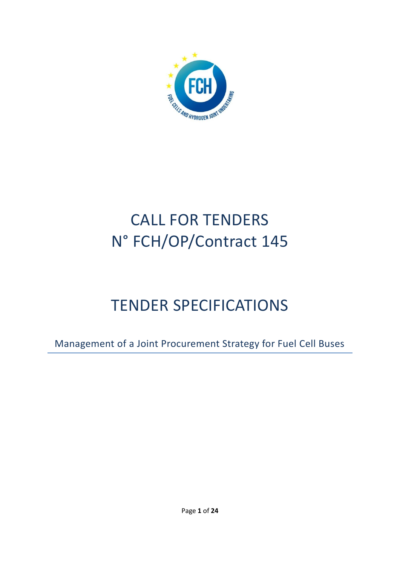

# CALL FOR TENDERS N° FCH/OP/Contract 145

# TENDER SPECIFICATIONS

Management of a Joint Procurement Strategy for Fuel Cell Buses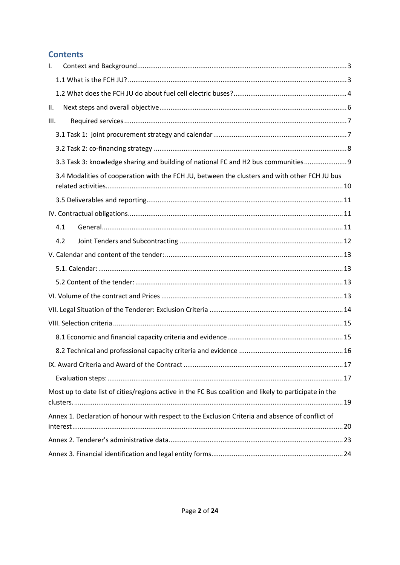# **Contents**

| $\mathbf{I}$ .                                                                                         |  |
|--------------------------------------------------------------------------------------------------------|--|
|                                                                                                        |  |
|                                                                                                        |  |
| Ш.                                                                                                     |  |
| III.                                                                                                   |  |
|                                                                                                        |  |
|                                                                                                        |  |
| 3.3 Task 3: knowledge sharing and building of national FC and H2 bus communities 9                     |  |
| 3.4 Modalities of cooperation with the FCH JU, between the clusters and with other FCH JU bus          |  |
|                                                                                                        |  |
|                                                                                                        |  |
| 4.1                                                                                                    |  |
| 4.2                                                                                                    |  |
|                                                                                                        |  |
|                                                                                                        |  |
|                                                                                                        |  |
|                                                                                                        |  |
|                                                                                                        |  |
|                                                                                                        |  |
|                                                                                                        |  |
|                                                                                                        |  |
|                                                                                                        |  |
|                                                                                                        |  |
| Most up to date list of cities/regions active in the FC Bus coalition and likely to participate in the |  |
| Annex 1. Declaration of honour with respect to the Exclusion Criteria and absence of conflict of       |  |
|                                                                                                        |  |
|                                                                                                        |  |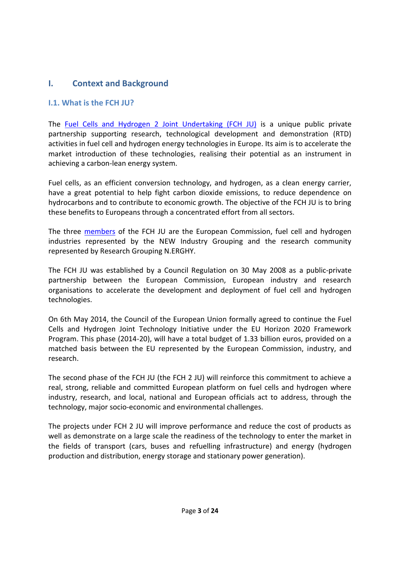# <span id="page-2-0"></span>**I. Context and Background**

#### <span id="page-2-1"></span>**I.1. What is the FCH JU?**

The [Fuel Cells and Hydrogen 2 Joint Undertaking \(FCH JU\)](http://www.fch.europa.eu/) is a unique public private partnership supporting research, technological development and demonstration (RTD) activities in fuel cell and hydrogen energy technologies in Europe. Its aim is to accelerate the market introduction of these technologies, realising their potential as an instrument in achieving a carbon-lean energy system.

Fuel cells, as an efficient conversion technology, and hydrogen, as a clean energy carrier, have a great potential to help fight carbon dioxide emissions, to reduce dependence on hydrocarbons and to contribute to economic growth. The objective of the FCH JU is to bring these benefits to Europeans through a concentrated effort from all sectors.

The three [members](http://www.fch.europa.eu/page/members) of the FCH JU are the European Commission, fuel cell and hydrogen industries represented by the NEW Industry Grouping and the research community represented by Research Grouping N.ERGHY.

The FCH JU was established by a Council Regulation on 30 May 2008 as a public-private partnership between the European Commission, European industry and research organisations to accelerate the development and deployment of fuel cell and hydrogen technologies.

On 6th May 2014, the Council of the European Union formally agreed to continue the Fuel Cells and Hydrogen Joint Technology Initiative under the EU Horizon 2020 Framework Program. This phase (2014-20), will have a total budget of 1.33 billion euros, provided on a matched basis between the EU represented by the European Commission, industry, and research.

The second phase of the FCH JU (the FCH 2 JU) will reinforce this commitment to achieve a real, strong, reliable and committed European platform on fuel cells and hydrogen where industry, research, and local, national and European officials act to address, through the technology, major socio-economic and environmental challenges.

The projects under FCH 2 JU will improve performance and reduce the cost of products as well as demonstrate on a large scale the readiness of the technology to enter the market in the fields of transport (cars, buses and refuelling infrastructure) and energy (hydrogen production and distribution, energy storage and stationary power generation).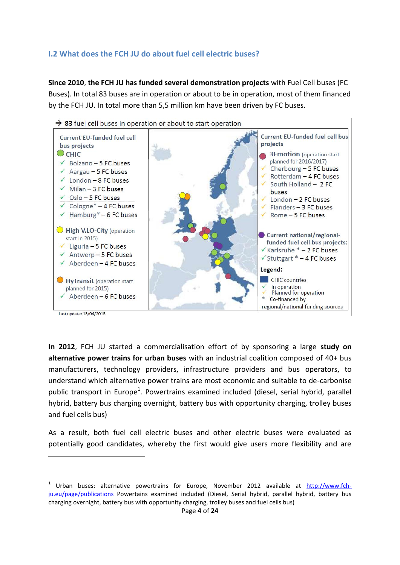#### <span id="page-3-0"></span>**I.2 What does the FCH JU do about fuel cell electric buses?**

**Since 2010**, **the FCH JU has funded several demonstration projects** with Fuel Cell buses (FC Buses). In total 83 buses are in operation or about to be in operation, most of them financed by the FCH JU. In total more than 5,5 million km have been driven by FC buses.



 $\rightarrow$  83 fuel cell buses in operation or about to start operation

**In 2012**, FCH JU started a commercialisation effort of by sponsoring a large **study on alternative power trains for urban buses** with an industrial coalition composed of 40+ bus manufacturers, technology providers, infrastructure providers and bus operators, to understand which alternative power trains are most economic and suitable to de-carbonise public transport in Europe<sup>1</sup>. Powertrains examined included (diesel, serial hybrid, parallel hybrid, battery bus charging overnight, battery bus with opportunity charging, trolley buses and fuel cells bus)

As a result, both fuel cell electric buses and other electric buses were evaluated as potentially good candidates, whereby the first would give users more flexibility and are

**.** 

<sup>&</sup>lt;sup>1</sup> Urban buses: alternative powertrains for Europe, November 2012 available at [http://www.fch](http://www.fch-ju.eu/page/publications)[ju.eu/page/publications](http://www.fch-ju.eu/page/publications) Powertains examined included (Diesel, Serial hybrid, parallel hybrid, battery bus charging overnight, battery bus with opportunity charging, trolley buses and fuel cells bus)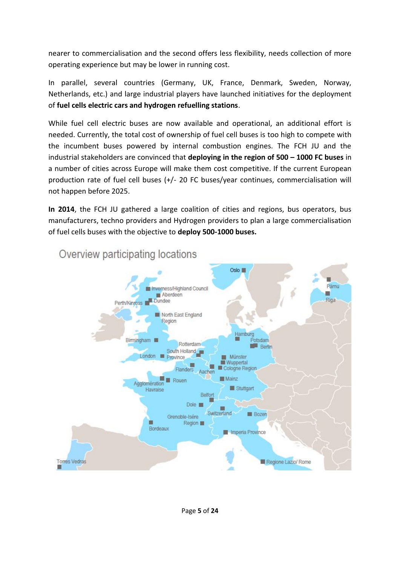nearer to commercialisation and the second offers less flexibility, needs collection of more operating experience but may be lower in running cost.

In parallel, several countries (Germany, UK, France, Denmark, Sweden, Norway, Netherlands, etc.) and large industrial players have launched initiatives for the deployment of **fuel cells electric cars and hydrogen refuelling stations**.

While fuel cell electric buses are now available and operational, an additional effort is needed. Currently, the total cost of ownership of fuel cell buses is too high to compete with the incumbent buses powered by internal combustion engines. The FCH JU and the industrial stakeholders are convinced that **deploying in the region of 500 – 1000 FC buses** in a number of cities across Europe will make them cost competitive. If the current European production rate of fuel cell buses (+/- 20 FC buses/year continues, commercialisation will not happen before 2025.

**In 2014**, the FCH JU gathered a large coalition of cities and regions, bus operators, bus manufacturers, techno providers and Hydrogen providers to plan a large commercialisation of fuel cells buses with the objective to **deploy 500-1000 buses.**



Overview participating locations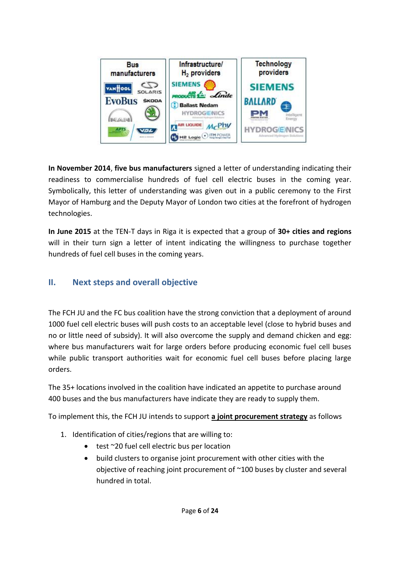

**In November 2014**, **five bus manufacturers** signed a letter of understanding indicating their readiness to commercialise hundreds of fuel cell electric buses in the coming year. Symbolically, this letter of understanding was given out in a public ceremony to the First Mayor of Hamburg and the Deputy Mayor of London two cities at the forefront of hydrogen technologies.

**In June 2015** at the TEN-T days in Riga it is expected that a group of **30+ cities and regions** will in their turn sign a letter of intent indicating the willingness to purchase together hundreds of fuel cell buses in the coming years.

## <span id="page-5-0"></span>**II. Next steps and overall objective**

The FCH JU and the FC bus coalition have the strong conviction that a deployment of around 1000 fuel cell electric buses will push costs to an acceptable level (close to hybrid buses and no or little need of subsidy). It will also overcome the supply and demand chicken and egg: where bus manufacturers wait for large orders before producing economic fuel cell buses while public transport authorities wait for economic fuel cell buses before placing large orders.

The 35+ locations involved in the coalition have indicated an appetite to purchase around 400 buses and the bus manufacturers have indicate they are ready to supply them.

To implement this, the FCH JU intends to support **a joint procurement strategy** as follows

- 1. Identification of cities/regions that are willing to:
	- test ~20 fuel cell electric bus per location
	- build clusters to organise joint procurement with other cities with the objective of reaching joint procurement of ~100 buses by cluster and several hundred in total.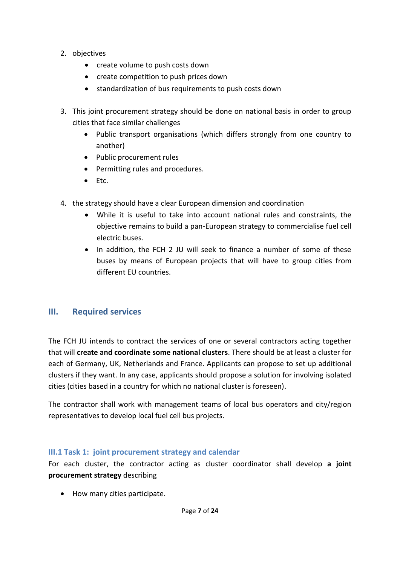- 2. objectives
	- create volume to push costs down
	- create competition to push prices down
	- standardization of bus requirements to push costs down
- 3. This joint procurement strategy should be done on national basis in order to group cities that face similar challenges
	- Public transport organisations (which differs strongly from one country to another)
	- Public procurement rules
	- Permitting rules and procedures.
	- $\bullet$  Ftc.
- 4. the strategy should have a clear European dimension and coordination
	- While it is useful to take into account national rules and constraints, the objective remains to build a pan-European strategy to commercialise fuel cell electric buses.
	- In addition, the FCH 2 JU will seek to finance a number of some of these buses by means of European projects that will have to group cities from different EU countries.

#### <span id="page-6-0"></span>**III. Required services**

The FCH JU intends to contract the services of one or several contractors acting together that will **create and coordinate some national clusters**. There should be at least a cluster for each of Germany, UK, Netherlands and France. Applicants can propose to set up additional clusters if they want. In any case, applicants should propose a solution for involving isolated cities (cities based in a country for which no national cluster is foreseen).

The contractor shall work with management teams of local bus operators and city/region representatives to develop local fuel cell bus projects.

#### <span id="page-6-1"></span>**III.1 Task 1: joint procurement strategy and calendar**

For each cluster, the contractor acting as cluster coordinator shall develop **a joint procurement strategy** describing

• How many cities participate.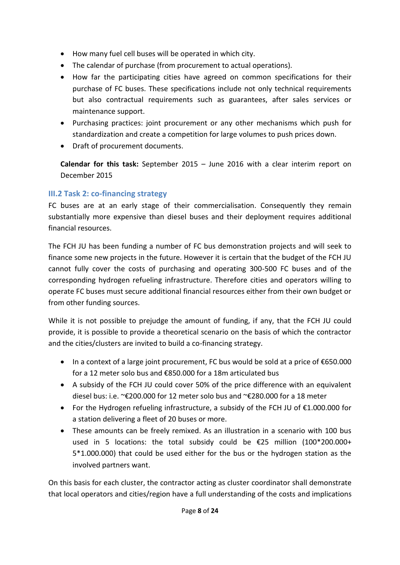- How many fuel cell buses will be operated in which city.
- The calendar of purchase (from procurement to actual operations).
- How far the participating cities have agreed on common specifications for their purchase of FC buses. These specifications include not only technical requirements but also contractual requirements such as guarantees, after sales services or maintenance support.
- Purchasing practices: joint procurement or any other mechanisms which push for standardization and create a competition for large volumes to push prices down.
- Draft of procurement documents.

**Calendar for this task:** September 2015 – June 2016 with a clear interim report on December 2015

# <span id="page-7-0"></span>**III.2 Task 2: co-financing strategy**

FC buses are at an early stage of their commercialisation. Consequently they remain substantially more expensive than diesel buses and their deployment requires additional financial resources.

The FCH JU has been funding a number of FC bus demonstration projects and will seek to finance some new projects in the future. However it is certain that the budget of the FCH JU cannot fully cover the costs of purchasing and operating 300-500 FC buses and of the corresponding hydrogen refueling infrastructure. Therefore cities and operators willing to operate FC buses must secure additional financial resources either from their own budget or from other funding sources.

While it is not possible to prejudge the amount of funding, if any, that the FCH JU could provide, it is possible to provide a theoretical scenario on the basis of which the contractor and the cities/clusters are invited to build a co-financing strategy.

- In a context of a large joint procurement, FC bus would be sold at a price of €650.000 for a 12 meter solo bus and €850.000 for a 18m articulated bus
- A subsidy of the FCH JU could cover 50% of the price difference with an equivalent diesel bus: i.e. ~€200.000 for 12 meter solo bus and ~€280.000 for a 18 meter
- For the Hydrogen refueling infrastructure, a subsidy of the FCH JU of €1.000.000 for a station delivering a fleet of 20 buses or more.
- These amounts can be freely remixed. As an illustration in a scenario with 100 bus used in 5 locations: the total subsidy could be €25 million (100\*200.000+ 5\*1.000.000) that could be used either for the bus or the hydrogen station as the involved partners want.

On this basis for each cluster, the contractor acting as cluster coordinator shall demonstrate that local operators and cities/region have a full understanding of the costs and implications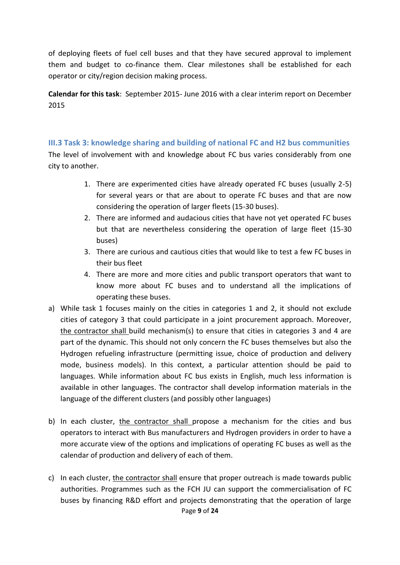of deploying fleets of fuel cell buses and that they have secured approval to implement them and budget to co-finance them. Clear milestones shall be established for each operator or city/region decision making process.

**Calendar for this task**: September 2015- June 2016 with a clear interim report on December 2015

#### <span id="page-8-0"></span>**III.3 Task 3: knowledge sharing and building of national FC and H2 bus communities**

The level of involvement with and knowledge about FC bus varies considerably from one city to another.

- 1. There are experimented cities have already operated FC buses (usually 2-5) for several years or that are about to operate FC buses and that are now considering the operation of larger fleets (15-30 buses).
- 2. There are informed and audacious cities that have not yet operated FC buses but that are nevertheless considering the operation of large fleet (15-30 buses)
- 3. There are curious and cautious cities that would like to test a few FC buses in their bus fleet
- 4. There are more and more cities and public transport operators that want to know more about FC buses and to understand all the implications of operating these buses.
- a) While task 1 focuses mainly on the cities in categories 1 and 2, it should not exclude cities of category 3 that could participate in a joint procurement approach. Moreover, the contractor shall build mechanism(s) to ensure that cities in categories 3 and 4 are part of the dynamic. This should not only concern the FC buses themselves but also the Hydrogen refueling infrastructure (permitting issue, choice of production and delivery mode, business models). In this context, a particular attention should be paid to languages. While information about FC bus exists in English, much less information is available in other languages. The contractor shall develop information materials in the language of the different clusters (and possibly other languages)
- b) In each cluster, the contractor shall propose a mechanism for the cities and bus operators to interact with Bus manufacturers and Hydrogen providers in order to have a more accurate view of the options and implications of operating FC buses as well as the calendar of production and delivery of each of them.
- Page **9** of **24** c) In each cluster, the contractor shall ensure that proper outreach is made towards public authorities. Programmes such as the FCH JU can support the commercialisation of FC buses by financing R&D effort and projects demonstrating that the operation of large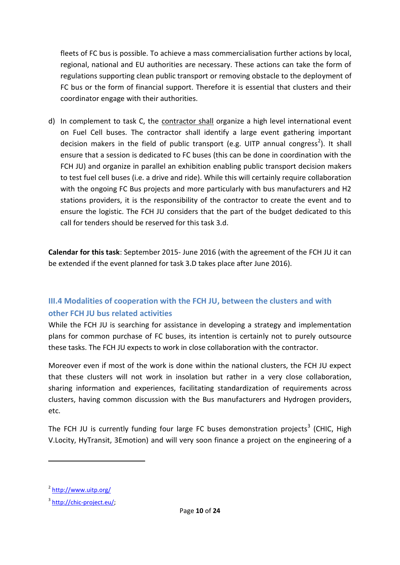fleets of FC bus is possible. To achieve a mass commercialisation further actions by local, regional, national and EU authorities are necessary. These actions can take the form of regulations supporting clean public transport or removing obstacle to the deployment of FC bus or the form of financial support. Therefore it is essential that clusters and their coordinator engage with their authorities.

d) In complement to task C, the contractor shall organize a high level international event on Fuel Cell buses. The contractor shall identify a large event gathering important decision makers in the field of public transport (e.g. UITP annual congress<sup>2</sup>). It shall ensure that a session is dedicated to FC buses (this can be done in coordination with the FCH JU) and organize in parallel an exhibition enabling public transport decision makers to test fuel cell buses (i.e. a drive and ride). While this will certainly require collaboration with the ongoing FC Bus projects and more particularly with bus manufacturers and H2 stations providers, it is the responsibility of the contractor to create the event and to ensure the logistic. The FCH JU considers that the part of the budget dedicated to this call for tenders should be reserved for this task 3.d.

**Calendar for this task**: September 2015- June 2016 (with the agreement of the FCH JU it can be extended if the event planned for task 3.D takes place after June 2016).

# <span id="page-9-0"></span>**III.4 Modalities of cooperation with the FCH JU, between the clusters and with other FCH JU bus related activities**

While the FCH JU is searching for assistance in developing a strategy and implementation plans for common purchase of FC buses, its intention is certainly not to purely outsource these tasks. The FCH JU expects to work in close collaboration with the contractor.

Moreover even if most of the work is done within the national clusters, the FCH JU expect that these clusters will not work in insolation but rather in a very close collaboration, sharing information and experiences, facilitating standardization of requirements across clusters, having common discussion with the Bus manufacturers and Hydrogen providers, etc.

The FCH JU is currently funding four large FC buses demonstration projects<sup>3</sup> (CHIC, High V.Locity, HyTransit, 3Emotion) and will very soon finance a project on the engineering of a

**.** 

<sup>&</sup>lt;sup>2</sup> <http://www.uitp.org/>

<sup>&</sup>lt;sup>3</sup> [http://chic-project.eu/;](http://chic-project.eu/)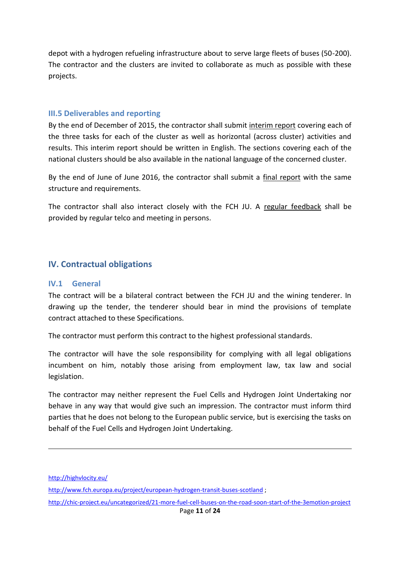depot with a hydrogen refueling infrastructure about to serve large fleets of buses (50-200). The contractor and the clusters are invited to collaborate as much as possible with these projects.

#### <span id="page-10-0"></span>**III.5 Deliverables and reporting**

By the end of December of 2015, the contractor shall submit interim report covering each of the three tasks for each of the cluster as well as horizontal (across cluster) activities and results. This interim report should be written in English. The sections covering each of the national clusters should be also available in the national language of the concerned cluster.

By the end of June of June 2016, the contractor shall submit a final report with the same structure and requirements.

The contractor shall also interact closely with the FCH JU. A regular feedback shall be provided by regular telco and meeting in persons.

#### <span id="page-10-1"></span>**IV. Contractual obligations**

#### <span id="page-10-2"></span>**IV.1 General**

The contract will be a bilateral contract between the FCH JU and the wining tenderer. In drawing up the tender, the tenderer should bear in mind the provisions of template contract attached to these Specifications.

The contractor must perform this contract to the highest professional standards.

The contractor will have the sole responsibility for complying with all legal obligations incumbent on him, notably those arising from employment law, tax law and social legislation.

The contractor may neither represent the Fuel Cells and Hydrogen Joint Undertaking nor behave in any way that would give such an impression. The contractor must inform third parties that he does not belong to the European public service, but is exercising the tasks on behalf of the Fuel Cells and Hydrogen Joint Undertaking.

<http://highvlocity.eu/>

**.** 

- <http://www.fch.europa.eu/project/european-hydrogen-transit-buses-scotland> ;
- <http://chic-project.eu/uncategorized/21-more-fuel-cell-buses-on-the-road-soon-start-of-the-3emotion-project>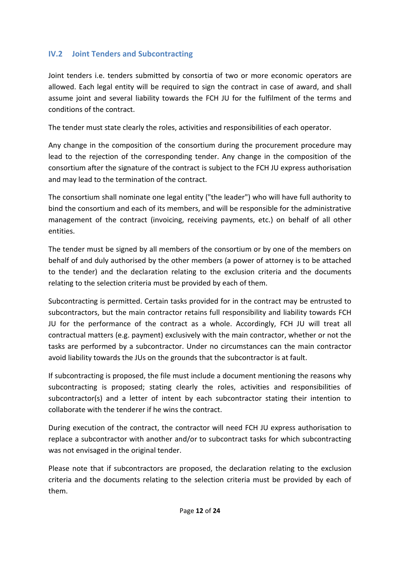## <span id="page-11-0"></span>**IV.2 Joint Tenders and Subcontracting**

Joint tenders i.e. tenders submitted by consortia of two or more economic operators are allowed. Each legal entity will be required to sign the contract in case of award, and shall assume joint and several liability towards the FCH JU for the fulfilment of the terms and conditions of the contract.

The tender must state clearly the roles, activities and responsibilities of each operator.

Any change in the composition of the consortium during the procurement procedure may lead to the rejection of the corresponding tender. Any change in the composition of the consortium after the signature of the contract is subject to the FCH JU express authorisation and may lead to the termination of the contract.

The consortium shall nominate one legal entity ("the leader") who will have full authority to bind the consortium and each of its members, and will be responsible for the administrative management of the contract (invoicing, receiving payments, etc.) on behalf of all other entities.

The tender must be signed by all members of the consortium or by one of the members on behalf of and duly authorised by the other members (a power of attorney is to be attached to the tender) and the declaration relating to the exclusion criteria and the documents relating to the selection criteria must be provided by each of them.

Subcontracting is permitted. Certain tasks provided for in the contract may be entrusted to subcontractors, but the main contractor retains full responsibility and liability towards FCH JU for the performance of the contract as a whole. Accordingly, FCH JU will treat all contractual matters (e.g. payment) exclusively with the main contractor, whether or not the tasks are performed by a subcontractor. Under no circumstances can the main contractor avoid liability towards the JUs on the grounds that the subcontractor is at fault.

If subcontracting is proposed, the file must include a document mentioning the reasons why subcontracting is proposed; stating clearly the roles, activities and responsibilities of subcontractor(s) and a letter of intent by each subcontractor stating their intention to collaborate with the tenderer if he wins the contract.

During execution of the contract, the contractor will need FCH JU express authorisation to replace a subcontractor with another and/or to subcontract tasks for which subcontracting was not envisaged in the original tender.

Please note that if subcontractors are proposed, the declaration relating to the exclusion criteria and the documents relating to the selection criteria must be provided by each of them.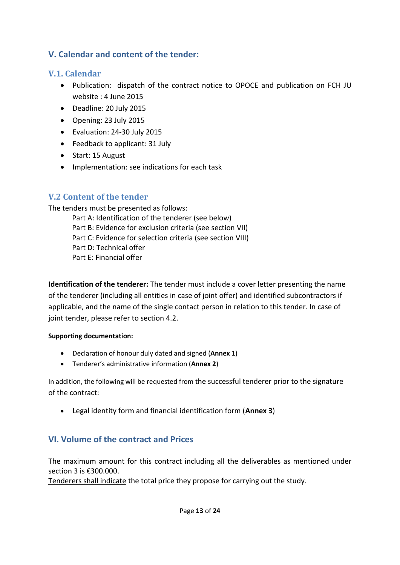# <span id="page-12-0"></span>**V. Calendar and content of the tender:**

### <span id="page-12-1"></span>**V.1. Calendar**

- Publication: dispatch of the contract notice to OPOCE and publication on FCH JU website : 4 June 2015
- Deadline: 20 July 2015
- Opening: 23 July 2015
- Evaluation: 24-30 July 2015
- Feedback to applicant: 31 July
- Start: 15 August
- Implementation: see indications for each task

# <span id="page-12-2"></span>**V.2 Content of the tender**

The tenders must be presented as follows:

Part A: Identification of the tenderer (see below) Part B: Evidence for exclusion criteria (see section VII) Part C: Evidence for selection criteria (see section VIII) Part D: Technical offer Part E: Financial offer

**Identification of the tenderer:** The tender must include a cover letter presenting the name of the tenderer (including all entities in case of joint offer) and identified subcontractors if applicable, and the name of the single contact person in relation to this tender. In case of joint tender, please refer to section 4.2.

#### **Supporting documentation:**

- Declaration of honour duly dated and signed (**Annex 1**)
- Tenderer's administrative information (**Annex 2**)

In addition, the following will be requested from the successful tenderer prior to the signature of the contract:

Legal identity form and financial identification form (**Annex 3**)

# <span id="page-12-3"></span>**VI. Volume of the contract and Prices**

The maximum amount for this contract including all the deliverables as mentioned under section 3 is €300.000.

Tenderers shall indicate the total price they propose for carrying out the study.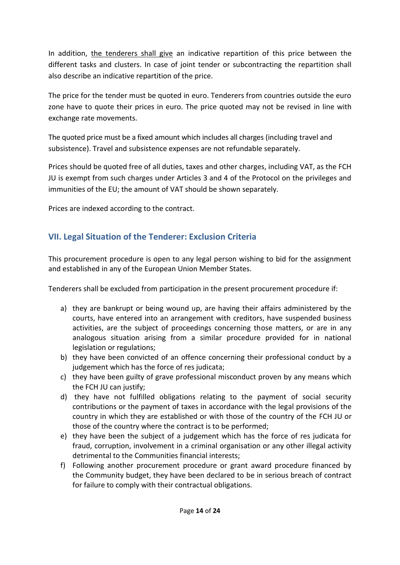In addition, the tenderers shall give an indicative repartition of this price between the different tasks and clusters. In case of joint tender or subcontracting the repartition shall also describe an indicative repartition of the price.

The price for the tender must be quoted in euro. Tenderers from countries outside the euro zone have to quote their prices in euro. The price quoted may not be revised in line with exchange rate movements.

The quoted price must be a fixed amount which includes all charges (including travel and subsistence). Travel and subsistence expenses are not refundable separately.

Prices should be quoted free of all duties, taxes and other charges, including VAT, as the FCH JU is exempt from such charges under Articles 3 and 4 of the Protocol on the privileges and immunities of the EU; the amount of VAT should be shown separately.

Prices are indexed according to the contract.

# <span id="page-13-0"></span>**VII. Legal Situation of the Tenderer: Exclusion Criteria**

This procurement procedure is open to any legal person wishing to bid for the assignment and established in any of the European Union Member States.

Tenderers shall be excluded from participation in the present procurement procedure if:

- a) they are bankrupt or being wound up, are having their affairs administered by the courts, have entered into an arrangement with creditors, have suspended business activities, are the subject of proceedings concerning those matters, or are in any analogous situation arising from a similar procedure provided for in national legislation or regulations;
- b) they have been convicted of an offence concerning their professional conduct by a judgement which has the force of res judicata;
- c) they have been guilty of grave professional misconduct proven by any means which the FCH JU can justify;
- d) they have not fulfilled obligations relating to the payment of social security contributions or the payment of taxes in accordance with the legal provisions of the country in which they are established or with those of the country of the FCH JU or those of the country where the contract is to be performed;
- e) they have been the subject of a judgement which has the force of res judicata for fraud, corruption, involvement in a criminal organisation or any other illegal activity detrimental to the Communities financial interests;
- f) Following another procurement procedure or grant award procedure financed by the Community budget, they have been declared to be in serious breach of contract for failure to comply with their contractual obligations.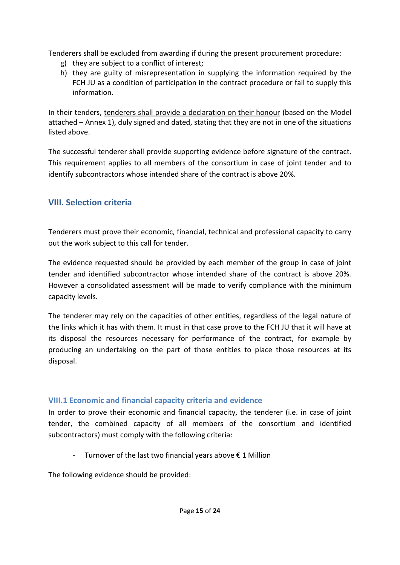Tenderers shall be excluded from awarding if during the present procurement procedure:

- g) they are subject to a conflict of interest;
- h) they are guilty of misrepresentation in supplying the information required by the FCH JU as a condition of participation in the contract procedure or fail to supply this information.

In their tenders, tenderers shall provide a declaration on their honour (based on the Model attached – Annex 1), duly signed and dated, stating that they are not in one of the situations listed above.

The successful tenderer shall provide supporting evidence before signature of the contract. This requirement applies to all members of the consortium in case of joint tender and to identify subcontractors whose intended share of the contract is above 20%.

# <span id="page-14-0"></span>**VIII. Selection criteria**

Tenderers must prove their economic, financial, technical and professional capacity to carry out the work subject to this call for tender.

The evidence requested should be provided by each member of the group in case of joint tender and identified subcontractor whose intended share of the contract is above 20%. However a consolidated assessment will be made to verify compliance with the minimum capacity levels.

The tenderer may rely on the capacities of other entities, regardless of the legal nature of the links which it has with them. It must in that case prove to the FCH JU that it will have at its disposal the resources necessary for performance of the contract, for example by producing an undertaking on the part of those entities to place those resources at its disposal.

### <span id="page-14-1"></span>**VIII.1 Economic and financial capacity criteria and evidence**

In order to prove their economic and financial capacity, the tenderer (i.e. in case of joint tender, the combined capacity of all members of the consortium and identified subcontractors) must comply with the following criteria:

- Turnover of the last two financial years above  $\epsilon$  1 Million

The following evidence should be provided: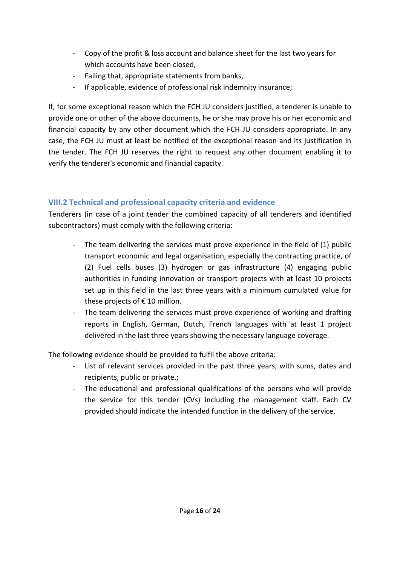- Copy of the profit & loss account and balance sheet for the last two years for which accounts have been closed,
- Failing that, appropriate statements from banks,
- If applicable, evidence of professional risk indemnity insurance;

If, for some exceptional reason which the FCH JU considers justified, a tenderer is unable to provide one or other of the above documents, he or she may prove his or her economic and financial capacity by any other document which the FCH JU considers appropriate. In any case, the FCH JU must at least be notified of the exceptional reason and its justification in the tender. The FCH JU reserves the right to request any other document enabling it to verify the tenderer's economic and financial capacity.

## <span id="page-15-0"></span>**VIII.2 Technical and professional capacity criteria and evidence**

Tenderers (in case of a joint tender the combined capacity of all tenderers and identified subcontractors) must comply with the following criteria:

- The team delivering the services must prove experience in the field of (1) public transport economic and legal organisation, especially the contracting practice, of (2) Fuel cells buses (3) hydrogen or gas infrastructure (4) engaging public authorities in funding innovation or transport projects with at least 10 projects set up in this field in the last three years with a minimum cumulated value for these projects of  $\epsilon$  10 million.
- The team delivering the services must prove experience of working and drafting reports in English, German, Dutch, French languages with at least 1 project delivered in the last three years showing the necessary language coverage.

The following evidence should be provided to fulfil the above criteria:

- List of relevant services provided in the past three years, with sums, dates and recipients, public or private.;
- <span id="page-15-1"></span>- The educational and professional qualifications of the persons who will provide the service for this tender (CVs) including the management staff. Each CV provided should indicate the intended function in the delivery of the service.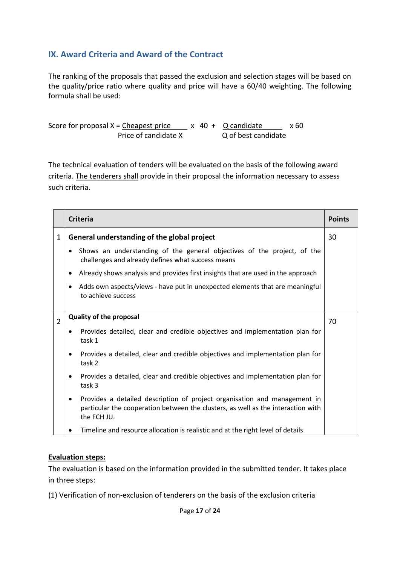# **IX. Award Criteria and Award of the Contract**

The ranking of the proposals that passed the exclusion and selection stages will be based on the quality/price ratio where quality and price will have a 60/40 weighting. The following formula shall be used:

Score for proposal  $X =$  Cheapest price  $x$  40 + Q candidate x 60 Price of candidate X Q of best candidate

The technical evaluation of tenders will be evaluated on the basis of the following award criteria. The tenderers shall provide in their proposal the information necessary to assess such criteria.

|                | <b>Criteria</b>                                                                                                                                                                           | <b>Points</b> |
|----------------|-------------------------------------------------------------------------------------------------------------------------------------------------------------------------------------------|---------------|
| $\mathbf{1}$   | General understanding of the global project                                                                                                                                               | 30            |
|                | Shows an understanding of the general objectives of the project, of the<br>$\bullet$<br>challenges and already defines what success means                                                 |               |
|                | Already shows analysis and provides first insights that are used in the approach<br>$\bullet$                                                                                             |               |
|                | Adds own aspects/views - have put in unexpected elements that are meaningful<br>$\bullet$<br>to achieve success                                                                           |               |
| $\overline{2}$ | <b>Quality of the proposal</b>                                                                                                                                                            |               |
|                | Provides detailed, clear and credible objectives and implementation plan for<br>$\bullet$<br>task 1                                                                                       |               |
|                | Provides a detailed, clear and credible objectives and implementation plan for<br>$\bullet$<br>task 2                                                                                     |               |
|                | Provides a detailed, clear and credible objectives and implementation plan for<br>$\bullet$<br>task 3                                                                                     |               |
|                | Provides a detailed description of project organisation and management in<br>$\bullet$<br>particular the cooperation between the clusters, as well as the interaction with<br>the FCH JU. |               |
|                | Timeline and resource allocation is realistic and at the right level of details                                                                                                           |               |

#### <span id="page-16-0"></span>**Evaluation steps:**

The evaluation is based on the information provided in the submitted tender. It takes place in three steps:

(1) Verification of non-exclusion of tenderers on the basis of the exclusion criteria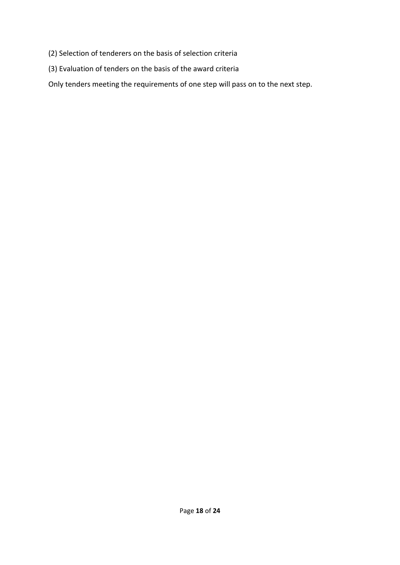- (2) Selection of tenderers on the basis of selection criteria
- (3) Evaluation of tenders on the basis of the award criteria

Only tenders meeting the requirements of one step will pass on to the next step.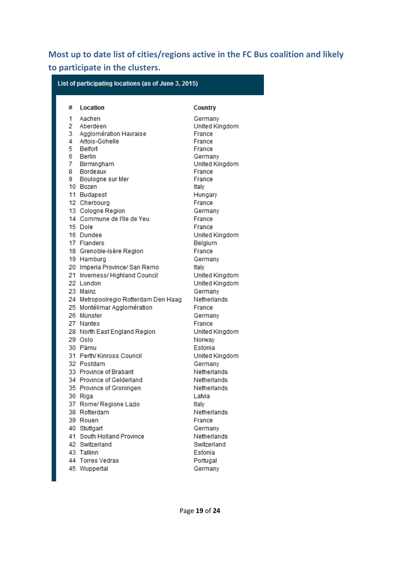# <span id="page-18-0"></span>**Most up to date list of cities/regions active in the FC Bus coalition and likely to participate in the clusters.**

| List of participating locations (as of June 3, 2015) |                                      |                |  |
|------------------------------------------------------|--------------------------------------|----------------|--|
| #                                                    | Location                             | Country        |  |
| 1                                                    | Aachen                               | Germany        |  |
| 2                                                    | Aberdeen                             | United Kingdom |  |
| 3                                                    | Agglomération Havraise               | France         |  |
| 4                                                    | Artois-Gohelle                       | France         |  |
| 5                                                    | Belfort                              | France         |  |
| 6                                                    | Berlin                               | Germany        |  |
|                                                      | 7 Birmingham                         | United Kingdom |  |
|                                                      | 8 Bordeaux                           | France         |  |
|                                                      | 9 Boulogne sur Mer                   | France         |  |
|                                                      | 10 Bozen                             | Italy          |  |
|                                                      | 11 Budapest                          | Hungary        |  |
|                                                      | 12 Cherbourg                         | France         |  |
|                                                      | 13 Cologne Region                    | Germany        |  |
|                                                      | 14 Commune de l'Ile de Yeu           | France         |  |
|                                                      | 15 Dole                              | France         |  |
|                                                      | 16 Dundee                            | United Kingdom |  |
|                                                      | 17 Flanders                          | Belgium        |  |
|                                                      | 18 Grenoble-Isère Region             | France         |  |
|                                                      | 19 Hamburg                           | Germany        |  |
|                                                      | 20 Imperia Province/ San Remo        | Italy          |  |
|                                                      | 21 Inverness/Highland Council        | United Kingdom |  |
|                                                      | 22 London                            | United Kingdom |  |
|                                                      | 23 Mainz                             | Germany        |  |
|                                                      | 24 Metropoolregio Rotterdam Den Haag | Netherlands    |  |
|                                                      | 25 Montélimar Agglomération          | France         |  |
|                                                      | 26 Münster                           | Germany        |  |
|                                                      | 27 Nantes                            | France         |  |
|                                                      | 28 North East England Region         | United Kingdom |  |
|                                                      | 29 Oslo                              | Norway         |  |
|                                                      | 30 Pärnu                             | Estonia        |  |
|                                                      | 31 Perth/Kinross Council             | United Kingdom |  |
|                                                      | 32 Postdam                           | Germany        |  |
|                                                      | 33 Province of Brabant               | Netherlands    |  |
|                                                      | 34 Province of Gelderland            | Netherlands    |  |
|                                                      | 35 Province of Groningen             | Netherlands    |  |
|                                                      | 36 Riga                              | Latvia         |  |
|                                                      | 37 Rome/ Regione Lazio               | Italy          |  |
|                                                      | 38 Rotterdam                         | Netherlands    |  |
|                                                      | 39 Rouen                             | France         |  |
|                                                      | 40 Stuttgart                         | Germany        |  |
|                                                      | 41 South Holland Province            | Netherlands    |  |
|                                                      | 42 Switzerland                       | Switzerland    |  |
|                                                      | 43 Tallinn                           | Estonia        |  |
|                                                      | 44 Torres Vedras                     | Portugal       |  |
|                                                      | 45 Wuppertal                         | Germany        |  |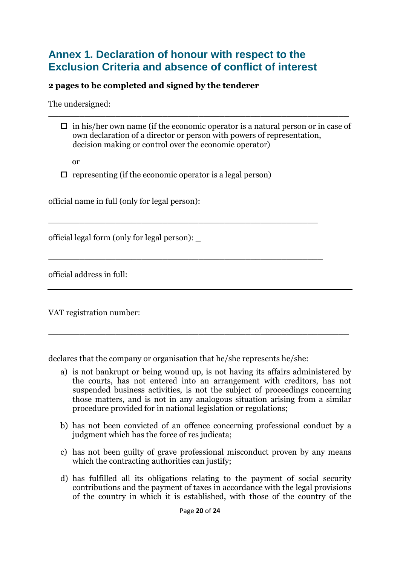# <span id="page-19-0"></span>**Annex 1. Declaration of honour with respect to the Exclusion Criteria and absence of conflict of interest**

### **2 pages to be completed and signed by the tenderer**

The undersigned:

 $\Box$  in his/her own name (if the economic operator is a natural person or in case of own declaration of a director or person with powers of representation, decision making or control over the economic operator)

\_\_\_\_\_\_\_\_\_\_\_\_\_\_\_\_\_\_\_\_\_\_\_\_\_\_\_\_\_\_\_\_\_\_\_\_\_\_\_\_\_\_\_\_\_\_\_\_\_\_\_\_\_\_\_\_\_\_

or

 $\Box$  representing (if the economic operator is a legal person)

\_\_\_\_\_\_\_\_\_\_\_\_\_\_\_\_\_\_\_\_\_\_\_\_\_\_\_\_\_\_\_\_\_\_\_\_\_\_\_\_\_\_\_\_\_\_\_\_\_\_\_\_

\_\_\_\_\_\_\_\_\_\_\_\_\_\_\_\_\_\_\_\_\_\_\_\_\_\_\_\_\_\_\_\_\_\_\_\_\_\_\_\_\_\_\_\_\_\_\_\_\_\_\_\_\_

official name in full (only for legal person):

official legal form (only for legal person): \_

official address in full:

VAT registration number:

declares that the company or organisation that he/she represents he/she:

a) is not bankrupt or being wound up, is not having its affairs administered by the courts, has not entered into an arrangement with creditors, has not suspended business activities, is not the subject of proceedings concerning those matters, and is not in any analogous situation arising from a similar procedure provided for in national legislation or regulations;

\_\_\_\_\_\_\_\_\_\_\_\_\_\_\_\_\_\_\_\_\_\_\_\_\_\_\_\_\_\_\_\_\_\_\_\_\_\_\_\_\_\_\_\_\_\_\_\_\_\_\_\_\_\_\_\_\_\_

- b) has not been convicted of an offence concerning professional conduct by a judgment which has the force of res judicata;
- c) has not been guilty of grave professional misconduct proven by any means which the contracting authorities can justify;
- d) has fulfilled all its obligations relating to the payment of social security contributions and the payment of taxes in accordance with the legal provisions of the country in which it is established, with those of the country of the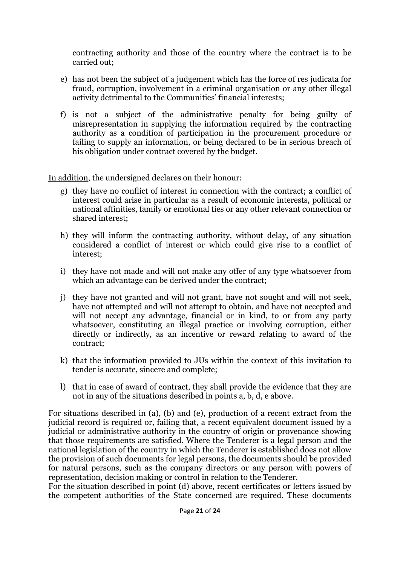contracting authority and those of the country where the contract is to be carried out;

- e) has not been the subject of a judgement which has the force of res judicata for fraud, corruption, involvement in a criminal organisation or any other illegal activity detrimental to the Communities' financial interests;
- f) is not a subject of the administrative penalty for being guilty of misrepresentation in supplying the information required by the contracting authority as a condition of participation in the procurement procedure or failing to supply an information, or being declared to be in serious breach of his obligation under contract covered by the budget.

In addition, the undersigned declares on their honour:

- g) they have no conflict of interest in connection with the contract; a conflict of interest could arise in particular as a result of economic interests, political or national affinities, family or emotional ties or any other relevant connection or shared interest;
- h) they will inform the contracting authority, without delay, of any situation considered a conflict of interest or which could give rise to a conflict of interest;
- i) they have not made and will not make any offer of any type whatsoever from which an advantage can be derived under the contract;
- j) they have not granted and will not grant, have not sought and will not seek, have not attempted and will not attempt to obtain, and have not accepted and will not accept any advantage, financial or in kind, to or from any party whatsoever, constituting an illegal practice or involving corruption, either directly or indirectly, as an incentive or reward relating to award of the contract;
- k) that the information provided to JUs within the context of this invitation to tender is accurate, sincere and complete;
- l) that in case of award of contract, they shall provide the evidence that they are not in any of the situations described in points a, b, d, e above.

For situations described in (a), (b) and (e), production of a recent extract from the judicial record is required or, failing that, a recent equivalent document issued by a judicial or administrative authority in the country of origin or provenance showing that those requirements are satisfied. Where the Tenderer is a legal person and the national legislation of the country in which the Tenderer is established does not allow the provision of such documents for legal persons, the documents should be provided for natural persons, such as the company directors or any person with powers of representation, decision making or control in relation to the Tenderer.

For the situation described in point (d) above, recent certificates or letters issued by the competent authorities of the State concerned are required. These documents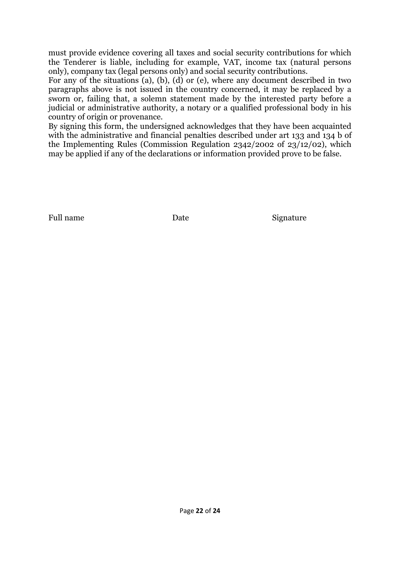must provide evidence covering all taxes and social security contributions for which the Tenderer is liable, including for example, VAT, income tax (natural persons only), company tax (legal persons only) and social security contributions.

For any of the situations (a), (b), (d) or (e), where any document described in two paragraphs above is not issued in the country concerned, it may be replaced by a sworn or, failing that, a solemn statement made by the interested party before a judicial or administrative authority, a notary or a qualified professional body in his country of origin or provenance.

By signing this form, the undersigned acknowledges that they have been acquainted with the administrative and financial penalties described under art 133 and 134 b of the Implementing Rules (Commission Regulation 2342/2002 of 23/12/02), which may be applied if any of the declarations or information provided prove to be false.

Full name Date Date Signature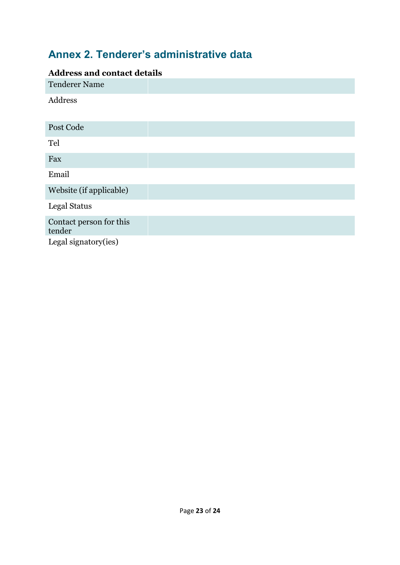# <span id="page-22-0"></span>**Annex 2. Tenderer's administrative data**

# **Address and contact details**

| <u>coo anna contae</u>            |  |
|-----------------------------------|--|
| <b>Tenderer Name</b>              |  |
| Address                           |  |
| Post Code                         |  |
|                                   |  |
| Tel                               |  |
| Fax                               |  |
| Email                             |  |
| Website (if applicable)           |  |
| <b>Legal Status</b>               |  |
| Contact person for this<br>tender |  |
| Legal signatory(ies)              |  |